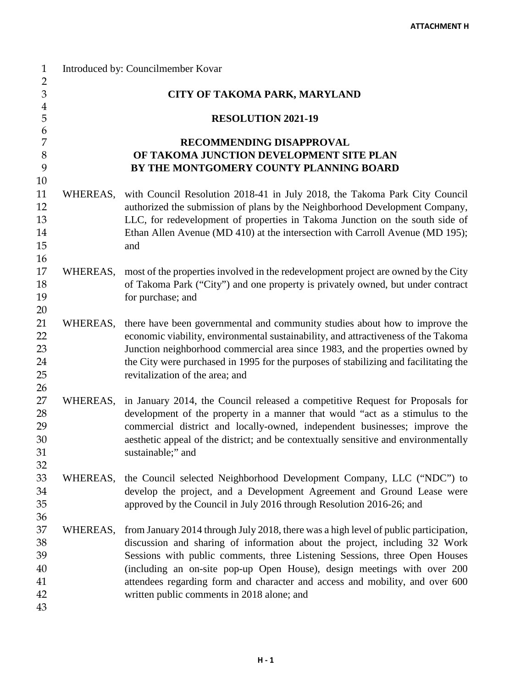| $\mathbf{1}$<br>$\overline{2}$ |                           | Introduced by: Councilmember Kovar                                                                                                                                    |  |  |
|--------------------------------|---------------------------|-----------------------------------------------------------------------------------------------------------------------------------------------------------------------|--|--|
| $\ensuremath{\mathbf{3}}$      |                           | <b>CITY OF TAKOMA PARK, MARYLAND</b>                                                                                                                                  |  |  |
| $\overline{\mathbf{4}}$<br>5   | <b>RESOLUTION 2021-19</b> |                                                                                                                                                                       |  |  |
| 6                              |                           |                                                                                                                                                                       |  |  |
| $\overline{7}$                 |                           | RECOMMENDING DISAPPROVAL                                                                                                                                              |  |  |
| $8\,$                          |                           | OF TAKOMA JUNCTION DEVELOPMENT SITE PLAN                                                                                                                              |  |  |
| 9                              |                           | BY THE MONTGOMERY COUNTY PLANNING BOARD                                                                                                                               |  |  |
| 10                             |                           |                                                                                                                                                                       |  |  |
| 11                             | WHEREAS,                  | with Council Resolution 2018-41 in July 2018, the Takoma Park City Council                                                                                            |  |  |
| 12                             |                           | authorized the submission of plans by the Neighborhood Development Company,                                                                                           |  |  |
| 13                             |                           | LLC, for redevelopment of properties in Takoma Junction on the south side of                                                                                          |  |  |
| 14                             |                           | Ethan Allen Avenue (MD 410) at the intersection with Carroll Avenue (MD 195);                                                                                         |  |  |
| 15                             |                           | and                                                                                                                                                                   |  |  |
| 16<br>17                       |                           |                                                                                                                                                                       |  |  |
| 18                             | WHEREAS,                  | most of the properties involved in the redevelopment project are owned by the City<br>of Takoma Park ("City") and one property is privately owned, but under contract |  |  |
| 19                             |                           | for purchase; and                                                                                                                                                     |  |  |
| 20                             |                           |                                                                                                                                                                       |  |  |
| 21                             | WHEREAS,                  | there have been governmental and community studies about how to improve the                                                                                           |  |  |
| 22                             |                           | economic viability, environmental sustainability, and attractiveness of the Takoma                                                                                    |  |  |
| 23                             |                           | Junction neighborhood commercial area since 1983, and the properties owned by                                                                                         |  |  |
| 24                             |                           | the City were purchased in 1995 for the purposes of stabilizing and facilitating the                                                                                  |  |  |
| 25                             |                           | revitalization of the area; and                                                                                                                                       |  |  |
| 26                             |                           |                                                                                                                                                                       |  |  |
| 27                             | WHEREAS,                  | in January 2014, the Council released a competitive Request for Proposals for                                                                                         |  |  |
| 28                             |                           | development of the property in a manner that would "act as a stimulus to the                                                                                          |  |  |
| 29                             |                           | commercial district and locally-owned, independent businesses; improve the                                                                                            |  |  |
| 30<br>31                       |                           | aesthetic appeal of the district; and be contextually sensitive and environmentally<br>sustainable;" and                                                              |  |  |
| 32                             |                           |                                                                                                                                                                       |  |  |
| 33                             | WHEREAS,                  | the Council selected Neighborhood Development Company, LLC ("NDC") to                                                                                                 |  |  |
| 34                             |                           | develop the project, and a Development Agreement and Ground Lease were                                                                                                |  |  |
| 35                             |                           | approved by the Council in July 2016 through Resolution 2016-26; and                                                                                                  |  |  |
| 36                             |                           |                                                                                                                                                                       |  |  |
| 37                             | WHEREAS,                  | from January 2014 through July 2018, there was a high level of public participation,                                                                                  |  |  |
| 38                             |                           | discussion and sharing of information about the project, including 32 Work                                                                                            |  |  |
| 39                             |                           | Sessions with public comments, three Listening Sessions, three Open Houses                                                                                            |  |  |
| 40                             |                           | (including an on-site pop-up Open House), design meetings with over 200                                                                                               |  |  |
| 41                             |                           | attendees regarding form and character and access and mobility, and over 600                                                                                          |  |  |
| 42                             |                           | written public comments in 2018 alone; and                                                                                                                            |  |  |
| 43                             |                           |                                                                                                                                                                       |  |  |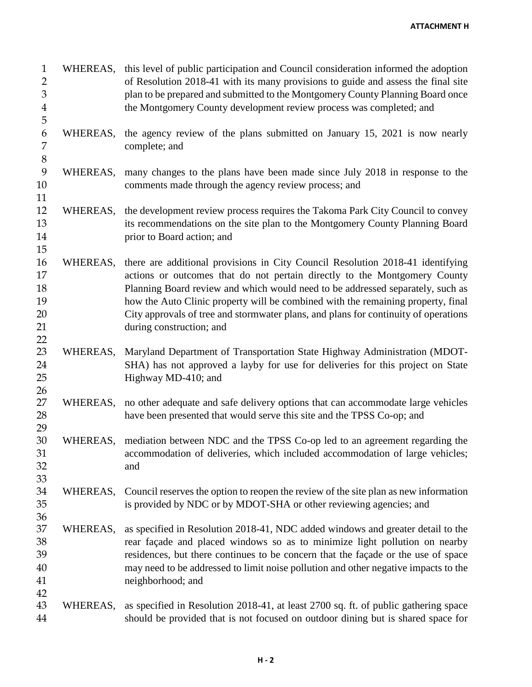**ATTACHMENT H**

| $\mathbf{1}$<br>$\overline{2}$<br>3<br>$\boldsymbol{4}$<br>5 | WHEREAS, | this level of public participation and Council consideration informed the adoption<br>of Resolution 2018-41 with its many provisions to guide and assess the final site<br>plan to be prepared and submitted to the Montgomery County Planning Board once<br>the Montgomery County development review process was completed; and                                                                                                                     |
|--------------------------------------------------------------|----------|------------------------------------------------------------------------------------------------------------------------------------------------------------------------------------------------------------------------------------------------------------------------------------------------------------------------------------------------------------------------------------------------------------------------------------------------------|
| 6<br>7<br>$8\,$                                              | WHEREAS, | the agency review of the plans submitted on January 15, 2021 is now nearly<br>complete; and                                                                                                                                                                                                                                                                                                                                                          |
| 9<br>10<br>11                                                | WHEREAS, | many changes to the plans have been made since July 2018 in response to the<br>comments made through the agency review process; and                                                                                                                                                                                                                                                                                                                  |
| 12<br>13<br>14<br>15                                         | WHEREAS, | the development review process requires the Takoma Park City Council to convey<br>its recommendations on the site plan to the Montgomery County Planning Board<br>prior to Board action; and                                                                                                                                                                                                                                                         |
| 16<br>17<br>18<br>19<br>20<br>21<br>22                       | WHEREAS, | there are additional provisions in City Council Resolution 2018-41 identifying<br>actions or outcomes that do not pertain directly to the Montgomery County<br>Planning Board review and which would need to be addressed separately, such as<br>how the Auto Clinic property will be combined with the remaining property, final<br>City approvals of tree and stormwater plans, and plans for continuity of operations<br>during construction; and |
| 23<br>24<br>25<br>26                                         | WHEREAS, | Maryland Department of Transportation State Highway Administration (MDOT-<br>SHA) has not approved a layby for use for deliveries for this project on State<br>Highway MD-410; and                                                                                                                                                                                                                                                                   |
| 27<br>28<br>29                                               | WHEREAS, | no other adequate and safe delivery options that can accommodate large vehicles<br>have been presented that would serve this site and the TPSS Co-op; and                                                                                                                                                                                                                                                                                            |
| 30<br>31<br>32<br>33                                         |          | WHEREAS, mediation between NDC and the TPSS Co-op led to an agreement regarding the<br>accommodation of deliveries, which included accommodation of large vehicles;<br>and                                                                                                                                                                                                                                                                           |
| 34<br>35<br>36                                               | WHEREAS, | Council reserves the option to reopen the review of the site plan as new information<br>is provided by NDC or by MDOT-SHA or other reviewing agencies; and                                                                                                                                                                                                                                                                                           |
| 37<br>38<br>39<br>40<br>41<br>42                             | WHEREAS, | as specified in Resolution 2018-41, NDC added windows and greater detail to the<br>rear façade and placed windows so as to minimize light pollution on nearby<br>residences, but there continues to be concern that the façade or the use of space<br>may need to be addressed to limit noise pollution and other negative impacts to the<br>neighborhood; and                                                                                       |
| 43<br>44                                                     | WHEREAS, | as specified in Resolution 2018-41, at least 2700 sq. ft. of public gathering space<br>should be provided that is not focused on outdoor dining but is shared space for                                                                                                                                                                                                                                                                              |